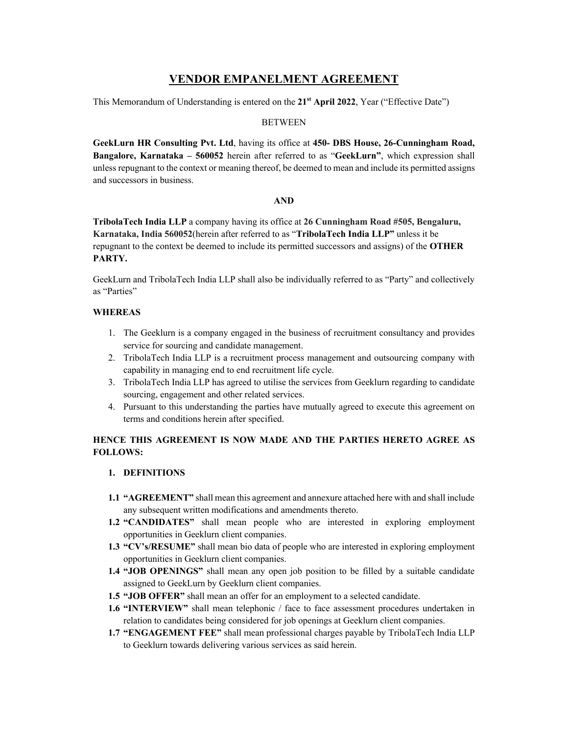# **VENDOR EMPANELMENT AGREEMENT**

This Memorandum of Understanding is entered on the **21st April 2022**, Year ("Effective Date")

### **BETWEEN**

**GeekLurn HR Consulting Pvt. Ltd**, having its office at **450- DBS House, 26-Cunningham Road, Bangalore, Karnataka – 560052** herein after referred to as "**GeekLurn"**, which expression shall unless repugnant to the context or meaning thereof, be deemed to mean and include its permitted assigns and successors in business.

#### **AND**

**TribolaTech India LLP** a company having its office at **26 Cunningham Road #505, Bengaluru, Karnataka, India 560052**(herein after referred to as "**TribolaTech India LLP"** unless it be repugnant to the context be deemed to include its permitted successors and assigns) of the **OTHER PARTY.**

GeekLurn and TribolaTech India LLP shall also be individually referred to as "Party" and collectively as "Parties"

### **WHEREAS**

- 1. The Geeklurn is a company engaged in the business of recruitment consultancy and provides service for sourcing and candidate management.
- 2. TribolaTech India LLP is a recruitment process management and outsourcing company with capability in managing end to end recruitment life cycle.
- 3. TribolaTech India LLP has agreed to utilise the services from Geeklurn regarding to candidate sourcing, engagement and other related services.
- 4. Pursuant to this understanding the parties have mutually agreed to execute this agreement on terms and conditions herein after specified.

# **HENCE THIS AGREEMENT IS NOW MADE AND THE PARTIES HERETO AGREE AS FOLLOWS:**

### **1. DEFINITIONS**

- **1.1 "AGREEMENT"** shall mean this agreement and annexure attached here with and shall include any subsequent written modifications and amendments thereto.
- **1.2 "CANDIDATES"** shall mean people who are interested in exploring employment opportunities in Geeklurn client companies.
- **1.3 "CV's/RESUME"** shall mean bio data of people who are interested in exploring employment opportunities in Geeklurn client companies.
- **1.4 "JOB OPENINGS"** shall mean any open job position to be filled by a suitable candidate assigned to GeekLurn by Geeklurn client companies.
- **1.5 "JOB OFFER"** shall mean an offer for an employment to a selected candidate.
- **1.6 "INTERVIEW"** shall mean telephonic / face to face assessment procedures undertaken in relation to candidates being considered for job openings at Geeklurn client companies.
- **1.7 "ENGAGEMENT FEE"** shall mean professional charges payable by TribolaTech India LLP to Geeklurn towards delivering various services as said herein.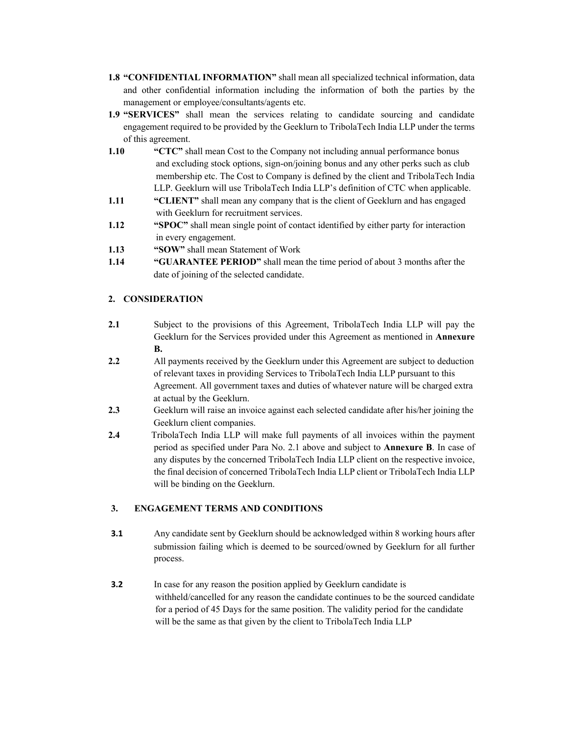- **1.8 "CONFIDENTIAL INFORMATION"** shall mean all specialized technical information, data and other confidential information including the information of both the parties by the management or employee/consultants/agents etc.
- **1.9 "SERVICES"** shall mean the services relating to candidate sourcing and candidate engagement required to be provided by the Geeklurn to TribolaTech India LLP under the terms of this agreement.
- **1.10 "CTC"** shall mean Cost to the Company not including annual performance bonus and excluding stock options, sign-on/joining bonus and any other perks such as club membership etc. The Cost to Company is defined by the client and TribolaTech India LLP. Geeklurn will use TribolaTech India LLP's definition of CTC when applicable.
- **1.11 CLIENT**" shall mean any company that is the client of Geeklurn and has engaged with Geeklurn for recruitment services.
- **1.12 "SPOC"** shall mean single point of contact identified by either party for interaction in every engagement.
- **1.13 "SOW"** shall mean Statement of Work
- **1.14 "GUARANTEE PERIOD"** shall mean the time period of about 3 months after the date of joining of the selected candidate.

# **2. CONSIDERATION**

- **2.1** Subject to the provisions of this Agreement, TribolaTech India LLP will pay the Geeklurn for the Services provided under this Agreement as mentioned in **Annexure B.**
- **2.2** All payments received by the Geeklurn under this Agreement are subject to deduction of relevant taxes in providing Services to TribolaTech India LLP pursuant to this Agreement. All government taxes and duties of whatever nature will be charged extra at actual by the Geeklurn.
- **2.3** Geeklurn will raise an invoice against each selected candidate after his/her joining the Geeklurn client companies.
- **2.4** TribolaTech India LLP will make full payments of all invoices within the payment period as specified under Para No. 2.1 above and subject to **Annexure B**. In case of any disputes by the concerned TribolaTech India LLP client on the respective invoice, the final decision of concerned TribolaTech India LLP client or TribolaTech India LLP will be binding on the Geeklurn.

## **3. ENGAGEMENT TERMS AND CONDITIONS**

- **3.1** Any candidate sent by Geeklurn should be acknowledged within 8 working hours after submission failing which is deemed to be sourced/owned by Geeklurn for all further process.
- **3.2** In case for any reason the position applied by Geeklurn candidate is withheld/cancelled for any reason the candidate continues to be the sourced candidate for a period of 45 Days for the same position. The validity period for the candidate will be the same as that given by the client to TribolaTech India LLP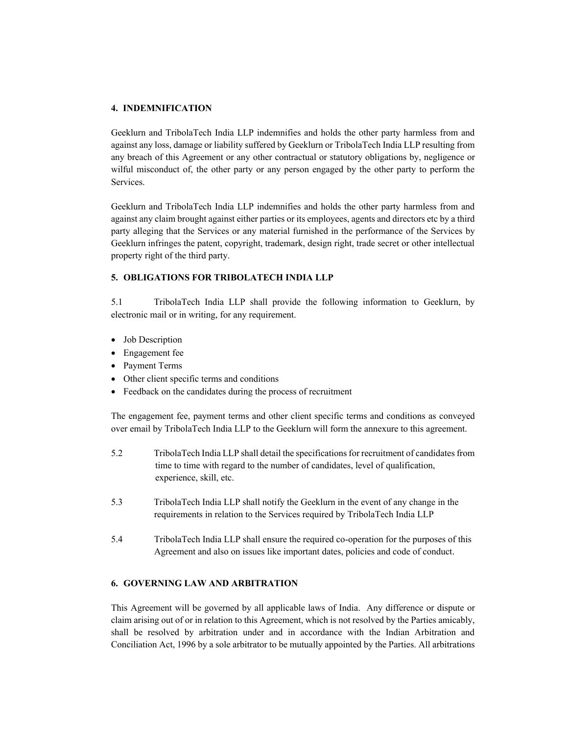### **4. INDEMNIFICATION**

Geeklurn and TribolaTech India LLP indemnifies and holds the other party harmless from and against any loss, damage or liability suffered by Geeklurn or TribolaTech India LLP resulting from any breach of this Agreement or any other contractual or statutory obligations by, negligence or wilful misconduct of, the other party or any person engaged by the other party to perform the Services.

Geeklurn and TribolaTech India LLP indemnifies and holds the other party harmless from and against any claim brought against either parties or its employees, agents and directors etc by a third party alleging that the Services or any material furnished in the performance of the Services by Geeklurn infringes the patent, copyright, trademark, design right, trade secret or other intellectual property right of the third party.

## **5. OBLIGATIONS FOR TRIBOLATECH INDIA LLP**

5.1 TribolaTech India LLP shall provide the following information to Geeklurn, by electronic mail or in writing, for any requirement.

- Job Description
- Engagement fee
- Payment Terms
- Other client specific terms and conditions
- Feedback on the candidates during the process of recruitment

The engagement fee, payment terms and other client specific terms and conditions as conveyed over email by TribolaTech India LLP to the Geeklurn will form the annexure to this agreement.

- 5.2 TribolaTech India LLP shall detail the specifications for recruitment of candidates from time to time with regard to the number of candidates, level of qualification, experience, skill, etc.
- 5.3 TribolaTech India LLP shall notify the Geeklurn in the event of any change in the requirements in relation to the Services required by TribolaTech India LLP
- 5.4 TribolaTech India LLP shall ensure the required co-operation for the purposes of this Agreement and also on issues like important dates, policies and code of conduct.

### **6. GOVERNING LAW AND ARBITRATION**

This Agreement will be governed by all applicable laws of India. Any difference or dispute or claim arising out of or in relation to this Agreement, which is not resolved by the Parties amicably, shall be resolved by arbitration under and in accordance with the Indian Arbitration and Conciliation Act, 1996 by a sole arbitrator to be mutually appointed by the Parties. All arbitrations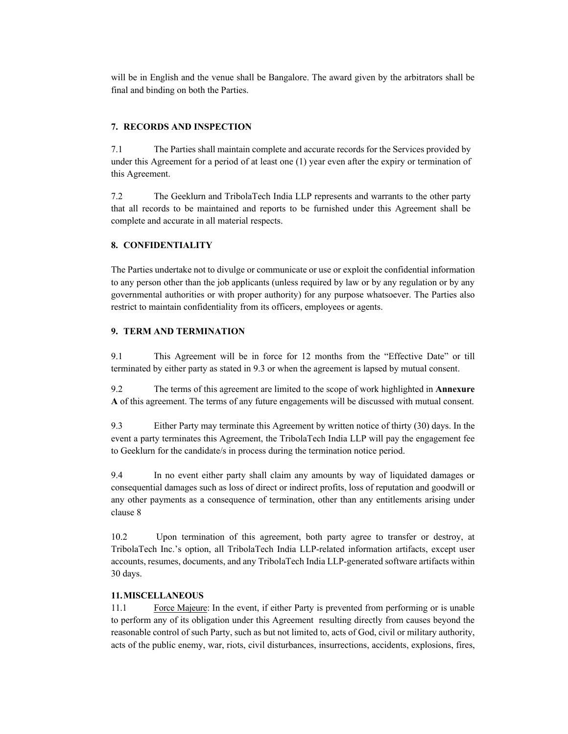will be in English and the venue shall be Bangalore. The award given by the arbitrators shall be final and binding on both the Parties.

## **7. RECORDS AND INSPECTION**

7.1 The Parties shall maintain complete and accurate records for the Services provided by under this Agreement for a period of at least one (1) year even after the expiry or termination of this Agreement.

7.2 The Geeklurn and TribolaTech India LLP represents and warrants to the other party that all records to be maintained and reports to be furnished under this Agreement shall be complete and accurate in all material respects.

## **8. CONFIDENTIALITY**

The Parties undertake not to divulge or communicate or use or exploit the confidential information to any person other than the job applicants (unless required by law or by any regulation or by any governmental authorities or with proper authority) for any purpose whatsoever. The Parties also restrict to maintain confidentiality from its officers, employees or agents.

## **9. TERM AND TERMINATION**

9.1 This Agreement will be in force for 12 months from the "Effective Date" or till terminated by either party as stated in 9.3 or when the agreement is lapsed by mutual consent.

9.2 The terms of this agreement are limited to the scope of work highlighted in **Annexure A** of this agreement. The terms of any future engagements will be discussed with mutual consent.

9.3 Either Party may terminate this Agreement by written notice of thirty (30) days. In the event a party terminates this Agreement, the TribolaTech India LLP will pay the engagement fee to Geeklurn for the candidate/s in process during the termination notice period.

9.4 In no event either party shall claim any amounts by way of liquidated damages or consequential damages such as loss of direct or indirect profits, loss of reputation and goodwill or any other payments as a consequence of termination, other than any entitlements arising under clause 8

10.2 Upon termination of this agreement, both party agree to transfer or destroy, at TribolaTech Inc.'s option, all TribolaTech India LLP-related information artifacts, except user accounts, resumes, documents, and any TribolaTech India LLP-generated software artifacts within 30 days.

## **11.MISCELLANEOUS**

11.1 Force Majeure: In the event, if either Party is prevented from performing or is unable to perform any of its obligation under this Agreement resulting directly from causes beyond the reasonable control of such Party, such as but not limited to, acts of God, civil or military authority, acts of the public enemy, war, riots, civil disturbances, insurrections, accidents, explosions, fires,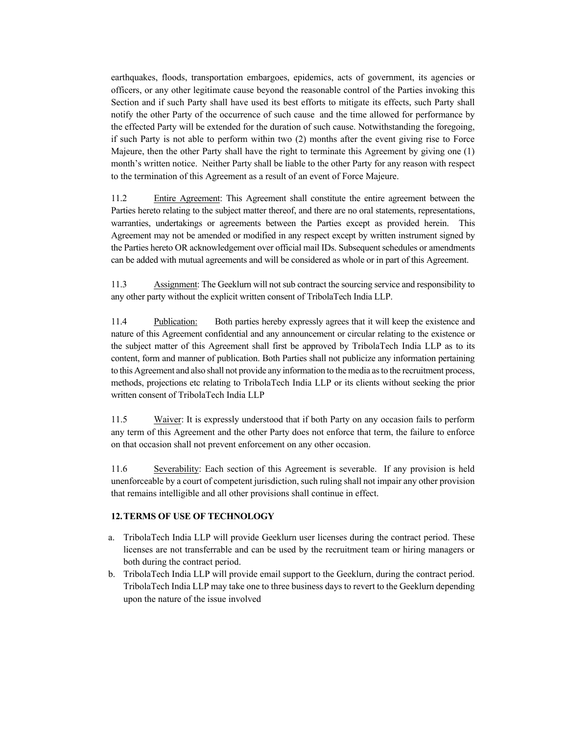earthquakes, floods, transportation embargoes, epidemics, acts of government, its agencies or officers, or any other legitimate cause beyond the reasonable control of the Parties invoking this Section and if such Party shall have used its best efforts to mitigate its effects, such Party shall notify the other Party of the occurrence of such cause and the time allowed for performance by the effected Party will be extended for the duration of such cause. Notwithstanding the foregoing, if such Party is not able to perform within two (2) months after the event giving rise to Force Majeure, then the other Party shall have the right to terminate this Agreement by giving one (1) month's written notice. Neither Party shall be liable to the other Party for any reason with respect to the termination of this Agreement as a result of an event of Force Majeure.

11.2 Entire Agreement: This Agreement shall constitute the entire agreement between the Parties hereto relating to the subject matter thereof, and there are no oral statements, representations, warranties, undertakings or agreements between the Parties except as provided herein. This Agreement may not be amended or modified in any respect except by written instrument signed by the Parties hereto OR acknowledgement over official mail IDs. Subsequent schedules or amendments can be added with mutual agreements and will be considered as whole or in part of this Agreement.

11.3 Assignment: The Geeklurn will not sub contract the sourcing service and responsibility to any other party without the explicit written consent of TribolaTech India LLP.

11.4 Publication: Both parties hereby expressly agrees that it will keep the existence and nature of this Agreement confidential and any announcement or circular relating to the existence or the subject matter of this Agreement shall first be approved by TribolaTech India LLP as to its content, form and manner of publication. Both Parties shall not publicize any information pertaining to this Agreement and also shall not provide any information to the media as to the recruitment process, methods, projections etc relating to TribolaTech India LLP or its clients without seeking the prior written consent of TribolaTech India LLP

11.5 Waiver: It is expressly understood that if both Party on any occasion fails to perform any term of this Agreement and the other Party does not enforce that term, the failure to enforce on that occasion shall not prevent enforcement on any other occasion.

11.6 Severability: Each section of this Agreement is severable. If any provision is held unenforceable by a court of competent jurisdiction, such ruling shall not impair any other provision that remains intelligible and all other provisions shall continue in effect.

### **12.TERMS OF USE OF TECHNOLOGY**

- a. TribolaTech India LLP will provide Geeklurn user licenses during the contract period. These licenses are not transferrable and can be used by the recruitment team or hiring managers or both during the contract period.
- b. TribolaTech India LLP will provide email support to the Geeklurn, during the contract period. TribolaTech India LLP may take one to three business days to revert to the Geeklurn depending upon the nature of the issue involved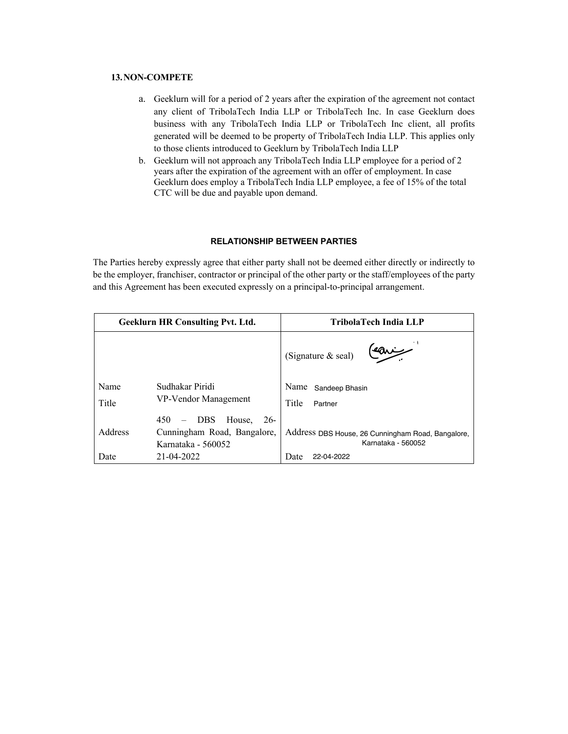## **13.NON-COMPETE**

- a. Geeklurn will for a period of 2 years after the expiration of the agreement not contact any client of TribolaTech India LLP or TribolaTech Inc. In case Geeklurn does business with any TribolaTech India LLP or TribolaTech Inc client, all profits generated will be deemed to be property of TribolaTech India LLP. This applies only to those clients introduced to Geeklurn by TribolaTech India LLP
- b. Geeklurn will not approach any TribolaTech India LLP employee for a period of 2 years after the expiration of the agreement with an offer of employment. In case Geeklurn does employ a TribolaTech India LLP employee, a fee of 15% of the total CTC will be due and payable upon demand.

## **RELATIONSHIP BETWEEN PARTIES**

The Parties hereby expressly agree that either party shall not be deemed either directly or indirectly to be the employer, franchiser, contractor or principal of the other party or the staff/employees of the party and this Agreement has been executed expressly on a principal-to-principal arrangement.

| <b>Geeklurn HR Consulting Pvt. Ltd.</b> |                                                                                                                       | TribolaTech India LLP                                                   |
|-----------------------------------------|-----------------------------------------------------------------------------------------------------------------------|-------------------------------------------------------------------------|
|                                         |                                                                                                                       | (Signature & seal)                                                      |
| Name<br>Title                           | Sudhakar Piridi<br>VP-Vendor Management                                                                               | Name<br>Sandeep Bhasin<br>Title<br>Partner                              |
| Address                                 | House,<br>$26-$<br>450<br><b>DBS</b><br>$\overline{\phantom{m}}$<br>Cunningham Road, Bangalore,<br>Karnataka - 560052 | Address DBS House, 26 Cunningham Road, Bangalore,<br>Karnataka - 560052 |
| Date                                    | 21-04-2022                                                                                                            | Date<br>22-04-2022                                                      |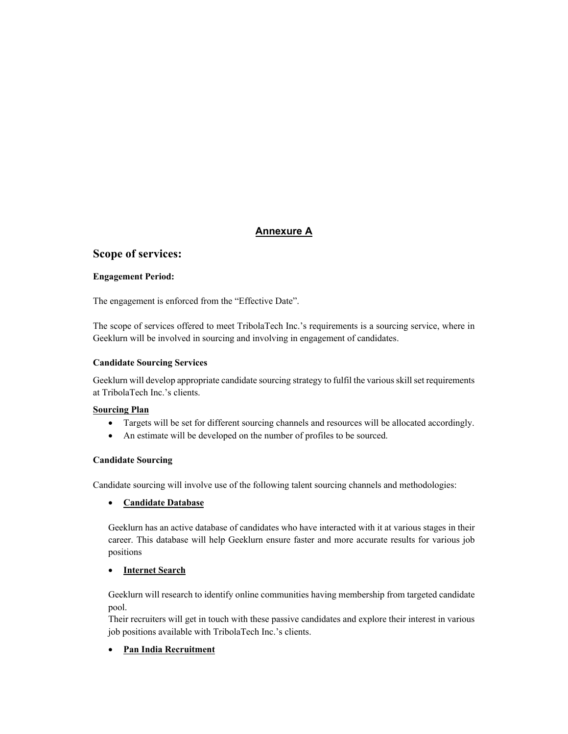# **Annexure A**

# **Scope of services:**

## **Engagement Period:**

The engagement is enforced from the "Effective Date".

The scope of services offered to meet TribolaTech Inc.'s requirements is a sourcing service, where in Geeklurn will be involved in sourcing and involving in engagement of candidates.

## **Candidate Sourcing Services**

Geeklurn will develop appropriate candidate sourcing strategy to fulfil the various skill set requirements at TribolaTech Inc.'s clients.

## **Sourcing Plan**

- Targets will be set for different sourcing channels and resources will be allocated accordingly.
- An estimate will be developed on the number of profiles to be sourced.

## **Candidate Sourcing**

Candidate sourcing will involve use of the following talent sourcing channels and methodologies:

## • **Candidate Database**

Geeklurn has an active database of candidates who have interacted with it at various stages in their career. This database will help Geeklurn ensure faster and more accurate results for various job positions

# • **Internet Search**

Geeklurn will research to identify online communities having membership from targeted candidate pool.

Their recruiters will get in touch with these passive candidates and explore their interest in various job positions available with TribolaTech Inc.'s clients.

# • **Pan India Recruitment**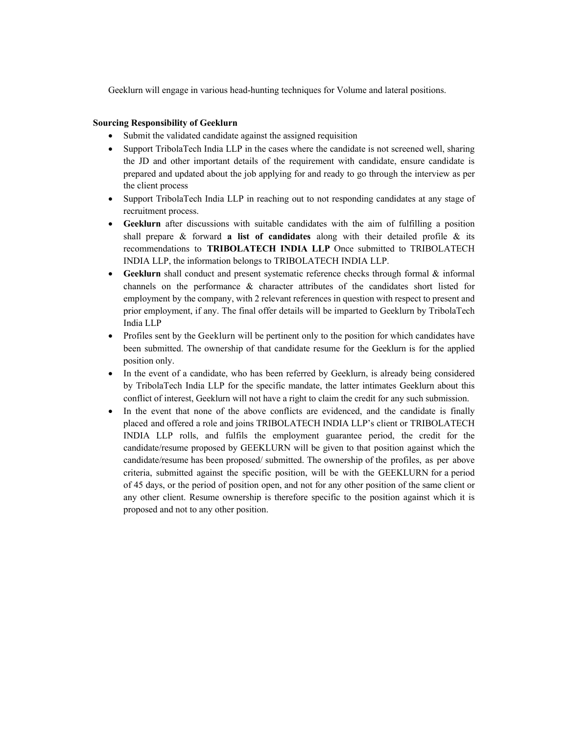Geeklurn will engage in various head-hunting techniques for Volume and lateral positions.

## **Sourcing Responsibility of Geeklurn**

- Submit the validated candidate against the assigned requisition
- Support TribolaTech India LLP in the cases where the candidate is not screened well, sharing the JD and other important details of the requirement with candidate, ensure candidate is prepared and updated about the job applying for and ready to go through the interview as per the client process
- Support TribolaTech India LLP in reaching out to not responding candidates at any stage of recruitment process.
- **Geeklurn** after discussions with suitable candidates with the aim of fulfilling a position shall prepare & forward **a list of candidates** along with their detailed profile & its recommendations to **TRIBOLATECH INDIA LLP** Once submitted to TRIBOLATECH INDIA LLP, the information belongs to TRIBOLATECH INDIA LLP.
- **Geeklurn** shall conduct and present systematic reference checks through formal & informal channels on the performance & character attributes of the candidates short listed for employment by the company, with 2 relevant references in question with respect to present and prior employment, if any. The final offer details will be imparted to Geeklurn by TribolaTech India LLP
- Profiles sent by the Geeklurn will be pertinent only to the position for which candidates have been submitted. The ownership of that candidate resume for the Geeklurn is for the applied position only.
- In the event of a candidate, who has been referred by Geeklurn, is already being considered by TribolaTech India LLP for the specific mandate, the latter intimates Geeklurn about this conflict of interest, Geeklurn will not have a right to claim the credit for any such submission.
- In the event that none of the above conflicts are evidenced, and the candidate is finally placed and offered a role and joins TRIBOLATECH INDIA LLP's client or TRIBOLATECH INDIA LLP rolls, and fulfils the employment guarantee period, the credit for the candidate/resume proposed by GEEKLURN will be given to that position against which the candidate/resume has been proposed/ submitted. The ownership of the profiles, as per above criteria, submitted against the specific position, will be with the GEEKLURN for a period of 45 days, or the period of position open, and not for any other position of the same client or any other client. Resume ownership is therefore specific to the position against which it is proposed and not to any other position.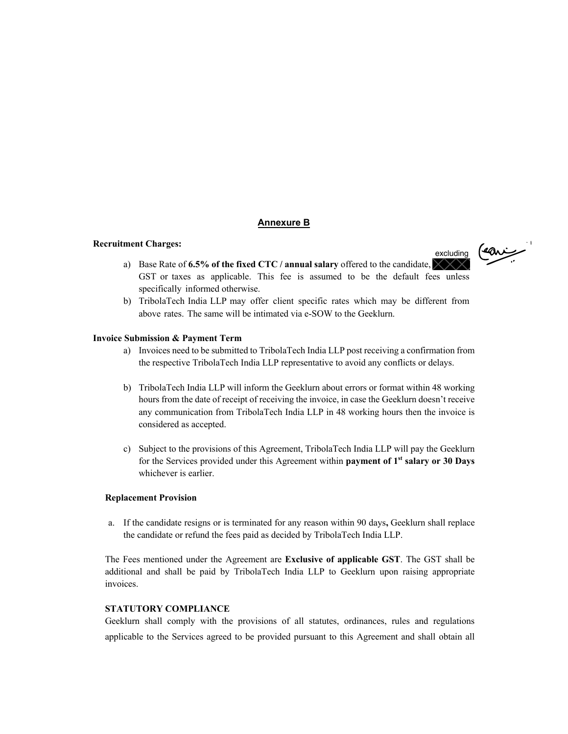## **Annexure B**

### **Recruitment Charges:**

- رخمهه) excludinga) Base Rate of 6.5% of the fixed CTC / annual salary offered to the candidate,  $\times$ GST or taxes as applicable. This fee is assumed to be the default fees unless
- specifically informed otherwise. b) TribolaTech India LLP may offer client specific rates which may be different from above rates. The same will be intimated via e-SOW to the Geeklurn.

### **Invoice Submission & Payment Term**

- a) Invoices need to be submitted to TribolaTech India LLP post receiving a confirmation from the respective TribolaTech India LLP representative to avoid any conflicts or delays.
- b) TribolaTech India LLP will inform the Geeklurn about errors or format within 48 working hours from the date of receipt of receiving the invoice, in case the Geeklurn doesn't receive any communication from TribolaTech India LLP in 48 working hours then the invoice is considered as accepted.
- c) Subject to the provisions of this Agreement, TribolaTech India LLP will pay the Geeklurn for the Services provided under this Agreement within **payment of 1st salary or 30 Days** whichever is earlier.

#### **Replacement Provision**

a. If the candidate resigns or is terminated for any reason within 90 days**,** Geeklurn shall replace the candidate or refund the fees paid as decided by TribolaTech India LLP.

The Fees mentioned under the Agreement are **Exclusive of applicable GST**. The GST shall be additional and shall be paid by TribolaTech India LLP to Geeklurn upon raising appropriate invoices.

## **STATUTORY COMPLIANCE**

Geeklurn shall comply with the provisions of all statutes, ordinances, rules and regulations applicable to the Services agreed to be provided pursuant to this Agreement and shall obtain all